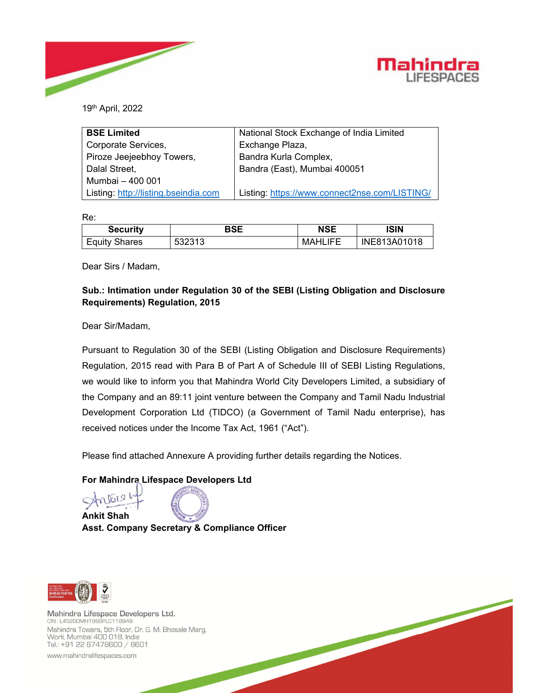



19th April, 2022

| <b>BSE Limited</b>                   | National Stock Exchange of India Limited      |  |  |
|--------------------------------------|-----------------------------------------------|--|--|
| Corporate Services,                  | Exchange Plaza,                               |  |  |
| Piroze Jeejeebhoy Towers,            | Bandra Kurla Complex,                         |  |  |
| Dalal Street,                        | Bandra (East), Mumbai 400051                  |  |  |
| Mumbai - 400 001                     |                                               |  |  |
| Listing: http://listing.bseindia.com | Listing: https://www.connect2nse.com/LISTING/ |  |  |

Re:

| <b>Security</b>      | BSE    | <b>NSE</b>     | ISIN         |
|----------------------|--------|----------------|--------------|
| <b>Equity Shares</b> | 532313 | <b>MAHLIFE</b> | INE813A01018 |

Dear Sirs / Madam,

## **Sub.: Intimation under Regulation 30 of the SEBI (Listing Obligation and Disclosure Requirements) Regulation, 2015**

Dear Sir/Madam,

Pursuant to Regulation 30 of the SEBI (Listing Obligation and Disclosure Requirements) Regulation, 2015 read with Para B of Part A of Schedule III of SEBI Listing Regulations, we would like to inform you that Mahindra World City Developers Limited, a subsidiary of the Company and an 89:11 joint venture between the Company and Tamil Nadu Industrial Development Corporation Ltd (TIDCO) (a Government of Tamil Nadu enterprise), has received notices under the Income Tax Act, 1961 ("Act").

Please find attached Annexure A providing further details regarding the Notices.

## **For Mahindra Lifespace Developers Ltd**

**Ankit Shah Asst. Company Secretary & Compliance Officer**



Mahindra Lifespace Developers Ltd. CIN: L45200MH1999PLC118949 Mahindra Towers, 5th Floor, Dr. G. M. Bhosale Marg, Worli, Mumbai 400 018, India Tel.: +91 22 67478600 / 8601

www.mahindralifespaces.com